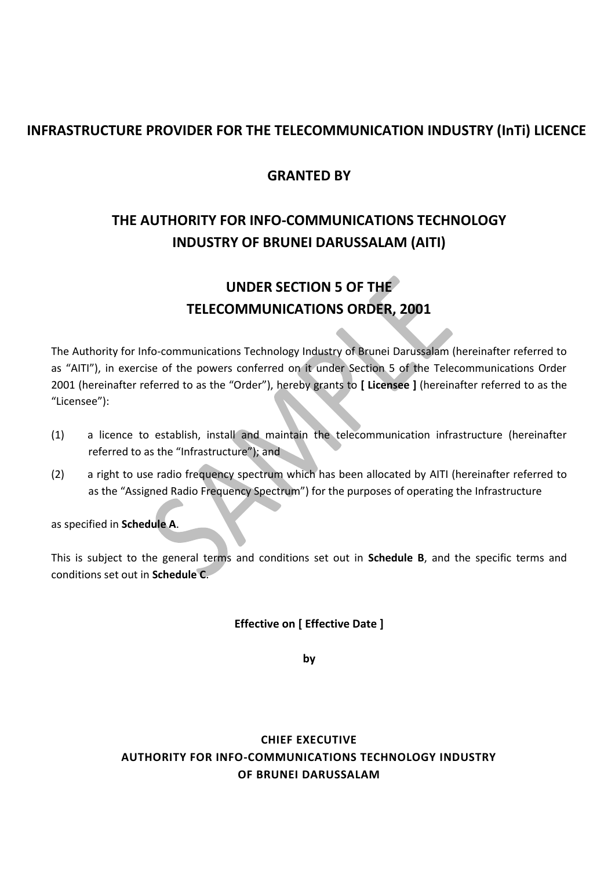## **INFRASTRUCTURE PROVIDER FOR THE TELECOMMUNICATION INDUSTRY (InTi) LICENCE**

## **GRANTED BY**

# **THE AUTHORITY FOR INFO-COMMUNICATIONS TECHNOLOGY INDUSTRY OF BRUNEI DARUSSALAM (AITI)**

# **UNDER SECTION 5 OF THE TELECOMMUNICATIONS ORDER, 2001**

The Authority for Info-communications Technology Industry of Brunei Darussalam (hereinafter referred to as "AITI"), in exercise of the powers conferred on it under Section 5 of the Telecommunications Order 2001 (hereinafter referred to as the "Order"), hereby grants to **[ Licensee ]** (hereinafter referred to as the "Licensee"):

- (1) a licence to establish, install and maintain the telecommunication infrastructure (hereinafter referred to as the "Infrastructure"); and
- (2) a right to use radio frequency spectrum which has been allocated by AITI (hereinafter referred to as the "Assigned Radio Frequency Spectrum") for the purposes of operating the Infrastructure

as specified in **Schedule A**.

This is subject to the general terms and conditions set out in **Schedule B**, and the specific terms and conditions set out in **Schedule C**.

## **Effective on [ Effective Date ]**

**by**

## **CHIEF EXECUTIVE AUTHORITY FOR INFO-COMMUNICATIONS TECHNOLOGY INDUSTRY OF BRUNEI DARUSSALAM**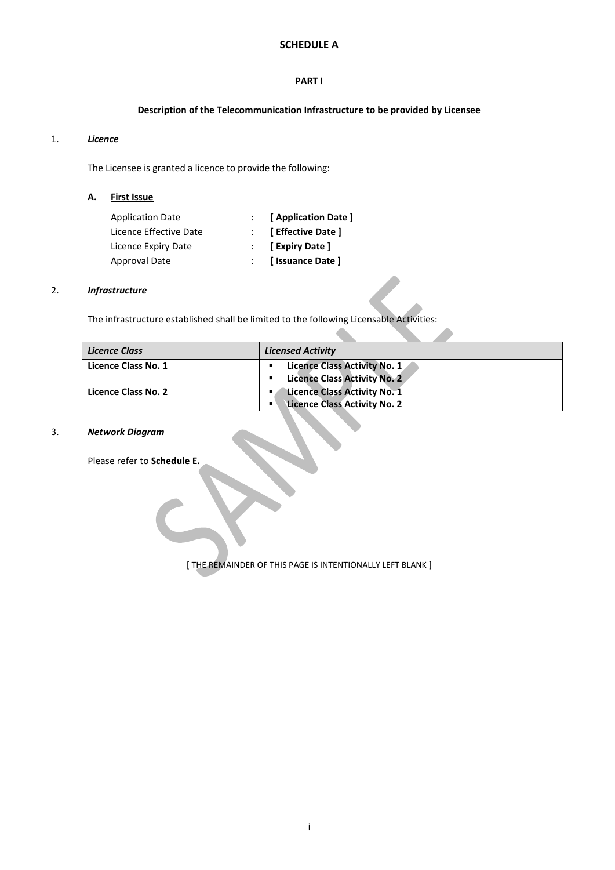## **SCHEDULE A**

#### **PART I**

## **Description of the Telecommunication Infrastructure to be provided by Licensee**

#### 1. *Licence*

The Licensee is granted a licence to provide the following:

**A. First Issue**

| <b>Application Date</b> | [ Application Date ]            |
|-------------------------|---------------------------------|
| Licence Effective Date  | $\therefore$ [ Effective Date ] |
| Licence Expiry Date     | $\therefore$ [Expiry Date]      |
| Approval Date           | : [ Issuance Date ]             |

#### 2. *Infrastructure*

The infrastructure established shall be limited to the following Licensable Activities:

| <b>Licence Class</b> | <b>Licensed Activity</b>                                                                           |
|----------------------|----------------------------------------------------------------------------------------------------|
| Licence Class No. 1  | Licence Class Activity No. 1<br>٠<br><b>Licence Class Activity No. 2</b>                           |
| Licence Class No. 2  | <b>Licence Class Activity No. 1</b><br>п.<br><b>Licence Class Activity No. 2</b><br>$\blacksquare$ |

 $\blacktriangle$ 

#### 3. *Network Diagram*

Please refer to **Schedule E.**

[ THE REMAINDER OF THIS PAGE IS INTENTIONALLY LEFT BLANK ]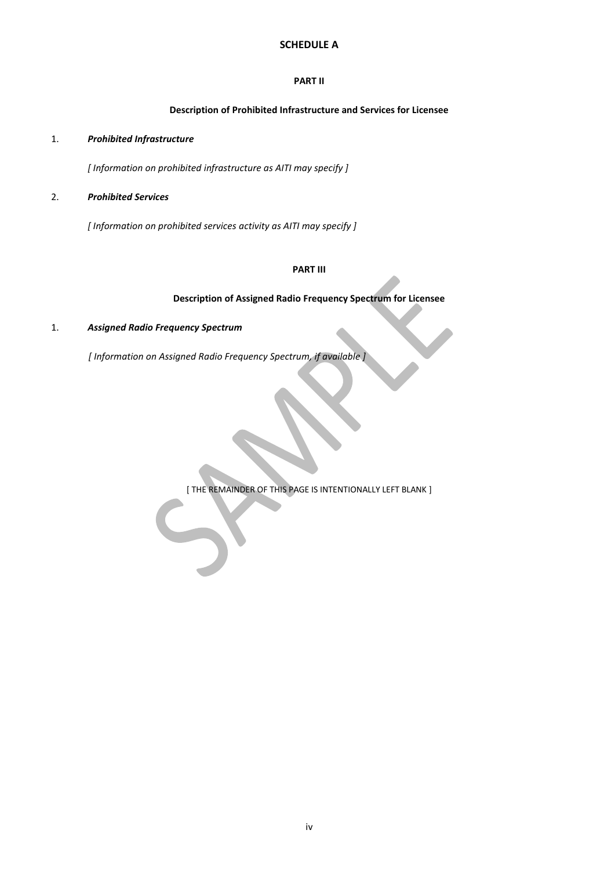## **SCHEDULE A**

#### **PART II**

## **Description of Prohibited Infrastructure and Services for Licensee**

#### 1. *Prohibited Infrastructure*

*[ Information on prohibited infrastructure as AITI may specify ]*

#### 2. *Prohibited Services*

*[ Information on prohibited services activity as AITI may specify ]*

### **PART III**

#### **Description of Assigned Radio Frequency Spectrum for Licensee**

#### 1. *Assigned Radio Frequency Spectrum*

*[ Information on Assigned Radio Frequency Spectrum, if available ]*

[ THE REMAINDER OF THIS PAGE IS INTENTIONALLY LEFT BLANK ]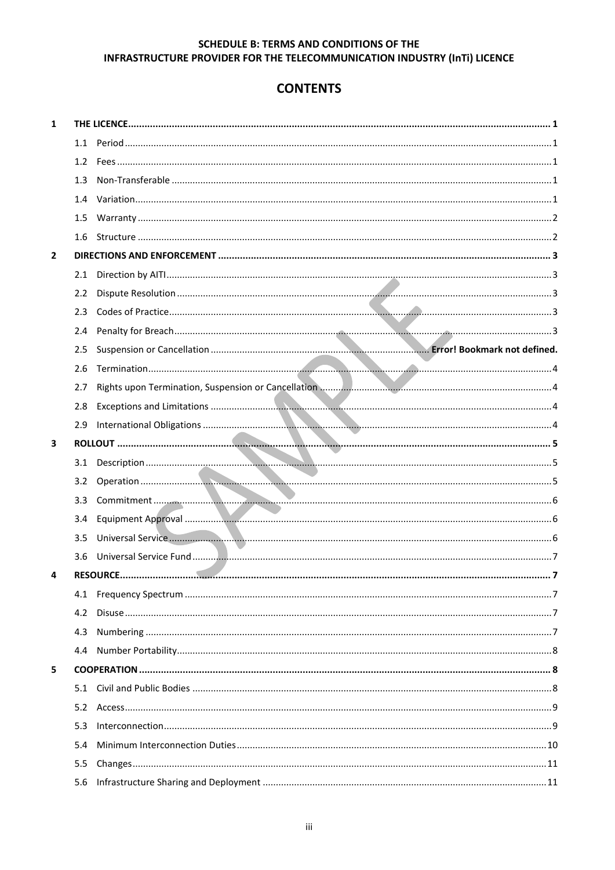## **CONTENTS**

| 1              |               |                 |  |
|----------------|---------------|-----------------|--|
|                |               |                 |  |
|                |               |                 |  |
|                | 1.3           |                 |  |
|                | 1.4           |                 |  |
|                | 1.5           |                 |  |
|                |               |                 |  |
| $\overline{2}$ |               |                 |  |
|                |               |                 |  |
|                | $2.2^{\circ}$ |                 |  |
|                | 2.3           |                 |  |
|                | 2.4           |                 |  |
|                | 2.5           |                 |  |
|                | 2.6           |                 |  |
|                | 2.7           |                 |  |
|                | 2.8           |                 |  |
|                | 2.9           |                 |  |
| 3              |               |                 |  |
|                |               |                 |  |
|                |               |                 |  |
|                |               |                 |  |
|                | 3.4           |                 |  |
|                | 3.5           |                 |  |
|                |               |                 |  |
| 4              |               | <b>RESOURCE</b> |  |
|                |               |                 |  |
|                | 4.2           |                 |  |
|                | 4.3           |                 |  |
|                | 4.4           |                 |  |
| 5              |               |                 |  |
|                |               |                 |  |
|                | 5.2           |                 |  |
|                | 5.3           |                 |  |
|                | 5.4           |                 |  |
|                | 5.5           |                 |  |
|                | 5.6           |                 |  |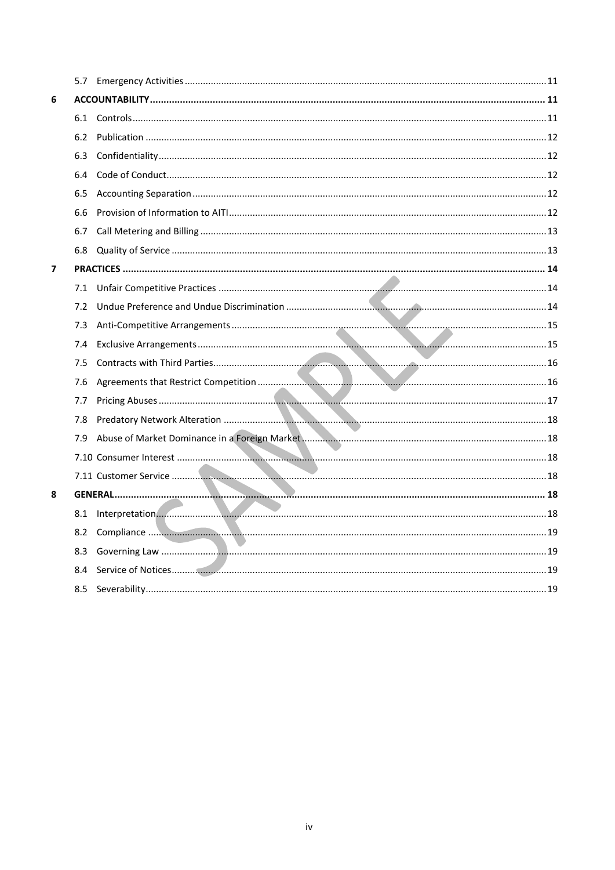| 6 |     |                     |  |
|---|-----|---------------------|--|
|   |     |                     |  |
|   | 6.2 |                     |  |
|   | 6.3 |                     |  |
|   | 6.4 |                     |  |
|   | 6.5 |                     |  |
|   | 6.6 |                     |  |
|   | 6.7 |                     |  |
|   | 6.8 |                     |  |
| 7 |     |                     |  |
|   | 7.1 |                     |  |
|   | 7.2 |                     |  |
|   | 7.3 |                     |  |
|   | 7.4 |                     |  |
|   | 7.5 |                     |  |
|   | 7.6 |                     |  |
|   | 7.7 |                     |  |
|   | 7.8 |                     |  |
|   | 7.9 |                     |  |
|   |     |                     |  |
|   |     |                     |  |
| 8 |     |                     |  |
|   |     | 8.1 Interpretation. |  |
|   | 8.2 |                     |  |
|   | 8.3 |                     |  |
|   | 8.4 |                     |  |
|   | 8.5 |                     |  |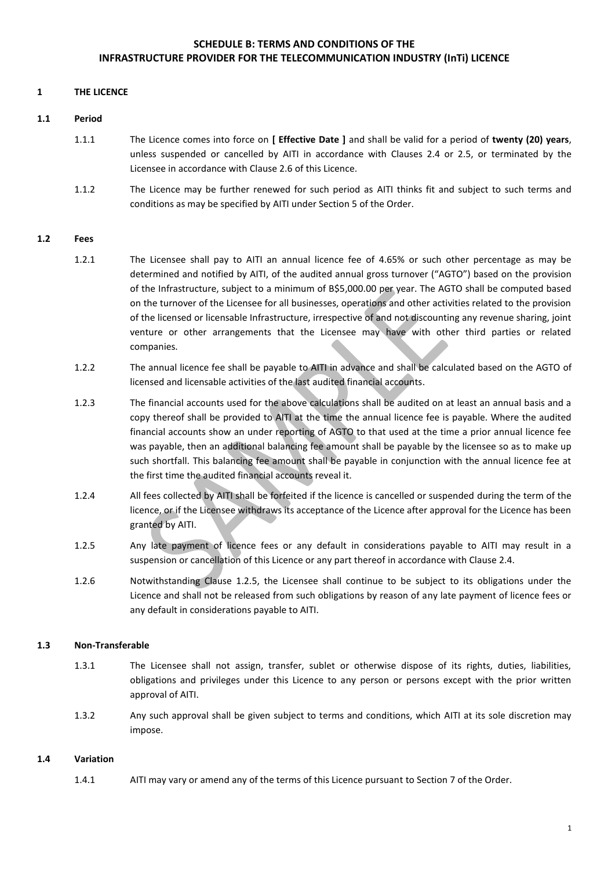### **1 THE LICENCE**

#### **1.1 Period**

- 1.1.1 The Licence comes into force on **[ Effective Date ]** and shall be valid for a period of **twenty (20) years**, unless suspended or cancelled by AITI in accordance with Clauses 2.4 or 2.5, or terminated by the Licensee in accordance with Clause 2.6 of this Licence.
- 1.1.2 The Licence may be further renewed for such period as AITI thinks fit and subject to such terms and conditions as may be specified by AITI under Section 5 of the Order.

#### **1.2 Fees**

- 1.2.1 The Licensee shall pay to AITI an annual licence fee of 4.65% or such other percentage as may be determined and notified by AITI, of the audited annual gross turnover ("AGTO") based on the provision of the Infrastructure, subject to a minimum of B\$5,000.00 per year. The AGTO shall be computed based on the turnover of the Licensee for all businesses, operations and other activities related to the provision of the licensed or licensable Infrastructure, irrespective of and not discounting any revenue sharing, joint venture or other arrangements that the Licensee may have with other third parties or related companies.
- 1.2.2 The annual licence fee shall be payable to AITI in advance and shall be calculated based on the AGTO of licensed and licensable activities of the last audited financial accounts.
- 1.2.3 The financial accounts used for the above calculations shall be audited on at least an annual basis and a copy thereof shall be provided to AITI at the time the annual licence fee is payable. Where the audited financial accounts show an under reporting of AGTO to that used at the time a prior annual licence fee was payable, then an additional balancing fee amount shall be payable by the licensee so as to make up such shortfall. This balancing fee amount shall be payable in conjunction with the annual licence fee at the first time the audited financial accounts reveal it.
- 1.2.4 All fees collected by AITI shall be forfeited if the licence is cancelled or suspended during the term of the licence, or if the Licensee withdraws its acceptance of the Licence after approval for the Licence has been granted by AITI.
- 1.2.5 Any late payment of licence fees or any default in considerations payable to AITI may result in a suspension or cancellation of this Licence or any part thereof in accordance with Clause 2.4.
- 1.2.6 Notwithstanding Clause 1.2.5, the Licensee shall continue to be subject to its obligations under the Licence and shall not be released from such obligations by reason of any late payment of licence fees or any default in considerations payable to AITI.

#### **1.3 Non-Transferable**

- 1.3.1 The Licensee shall not assign, transfer, sublet or otherwise dispose of its rights, duties, liabilities, obligations and privileges under this Licence to any person or persons except with the prior written approval of AITI.
- 1.3.2 Any such approval shall be given subject to terms and conditions, which AITI at its sole discretion may impose.

#### **1.4 Variation**

1.4.1 AITI may vary or amend any of the terms of this Licence pursuant to Section 7 of the Order.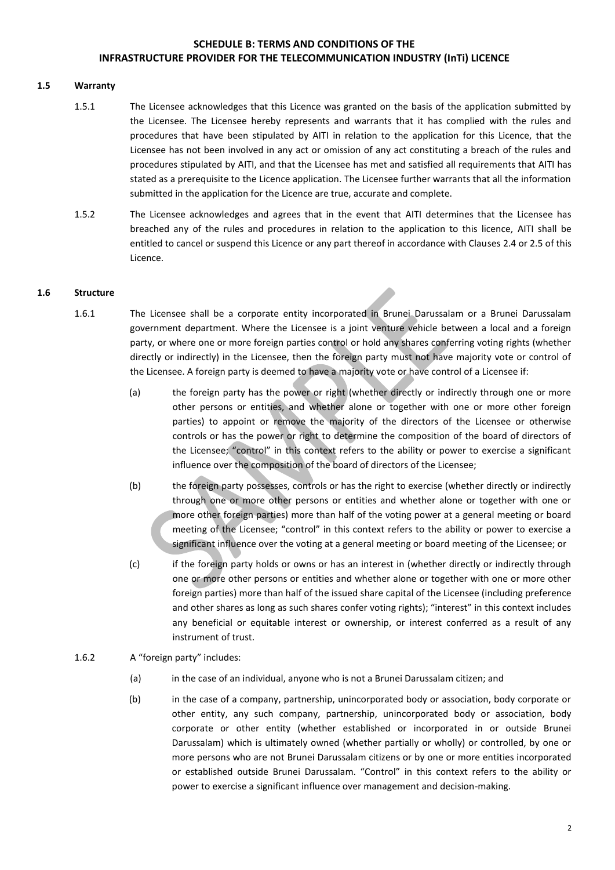### **1.5 Warranty**

- 1.5.1 The Licensee acknowledges that this Licence was granted on the basis of the application submitted by the Licensee. The Licensee hereby represents and warrants that it has complied with the rules and procedures that have been stipulated by AITI in relation to the application for this Licence, that the Licensee has not been involved in any act or omission of any act constituting a breach of the rules and procedures stipulated by AITI, and that the Licensee has met and satisfied all requirements that AITI has stated as a prerequisite to the Licence application. The Licensee further warrants that all the information submitted in the application for the Licence are true, accurate and complete.
- 1.5.2 The Licensee acknowledges and agrees that in the event that AITI determines that the Licensee has breached any of the rules and procedures in relation to the application to this licence, AITI shall be entitled to cancel or suspend this Licence or any part thereof in accordance with Clauses 2.4 or 2.5 of this Licence.

#### **1.6 Structure**

- 1.6.1 The Licensee shall be a corporate entity incorporated in Brunei Darussalam or a Brunei Darussalam government department. Where the Licensee is a joint venture vehicle between a local and a foreign party, or where one or more foreign parties control or hold any shares conferring voting rights (whether directly or indirectly) in the Licensee, then the foreign party must not have majority vote or control of the Licensee. A foreign party is deemed to have a majority vote or have control of a Licensee if:
	- (a) the foreign party has the power or right (whether directly or indirectly through one or more other persons or entities, and whether alone or together with one or more other foreign parties) to appoint or remove the majority of the directors of the Licensee or otherwise controls or has the power or right to determine the composition of the board of directors of the Licensee; "control" in this context refers to the ability or power to exercise a significant influence over the composition of the board of directors of the Licensee;
	- (b) the foreign party possesses, controls or has the right to exercise (whether directly or indirectly through one or more other persons or entities and whether alone or together with one or more other foreign parties) more than half of the voting power at a general meeting or board meeting of the Licensee; "control" in this context refers to the ability or power to exercise a significant influence over the voting at a general meeting or board meeting of the Licensee; or
	- (c) if the foreign party holds or owns or has an interest in (whether directly or indirectly through one or more other persons or entities and whether alone or together with one or more other foreign parties) more than half of the issued share capital of the Licensee (including preference and other shares as long as such shares confer voting rights); "interest" in this context includes any beneficial or equitable interest or ownership, or interest conferred as a result of any instrument of trust.
- 1.6.2 A "foreign party" includes:
	- (a) in the case of an individual, anyone who is not a Brunei Darussalam citizen; and
	- (b) in the case of a company, partnership, unincorporated body or association, body corporate or other entity, any such company, partnership, unincorporated body or association, body corporate or other entity (whether established or incorporated in or outside Brunei Darussalam) which is ultimately owned (whether partially or wholly) or controlled, by one or more persons who are not Brunei Darussalam citizens or by one or more entities incorporated or established outside Brunei Darussalam. "Control" in this context refers to the ability or power to exercise a significant influence over management and decision-making.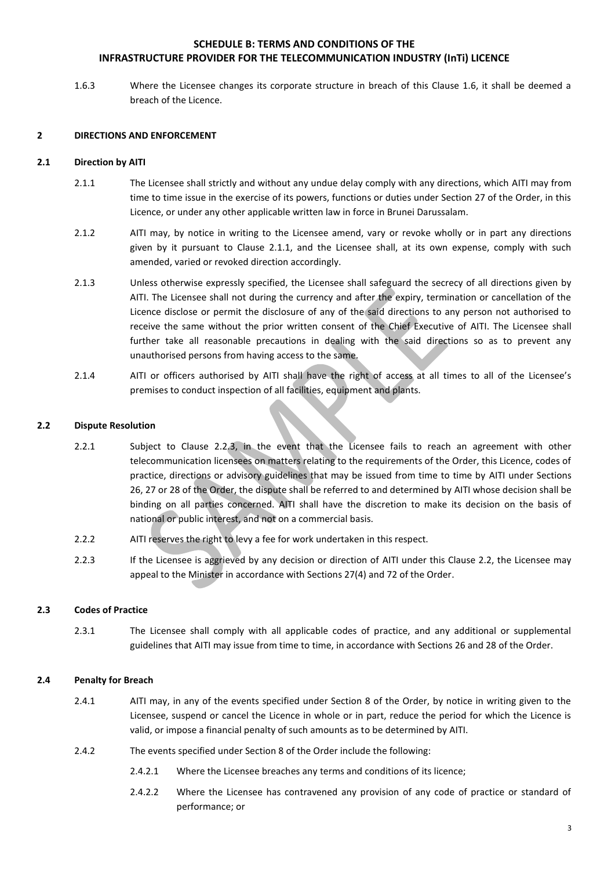1.6.3 Where the Licensee changes its corporate structure in breach of this Clause 1.6, it shall be deemed a breach of the Licence.

#### **2 DIRECTIONS AND ENFORCEMENT**

#### **2.1 Direction by AITI**

- 2.1.1 The Licensee shall strictly and without any undue delay comply with any directions, which AITI may from time to time issue in the exercise of its powers, functions or duties under Section 27 of the Order, in this Licence, or under any other applicable written law in force in Brunei Darussalam.
- 2.1.2 AITI may, by notice in writing to the Licensee amend, vary or revoke wholly or in part any directions given by it pursuant to Clause 2.1.1, and the Licensee shall, at its own expense, comply with such amended, varied or revoked direction accordingly.
- 2.1.3 Unless otherwise expressly specified, the Licensee shall safeguard the secrecy of all directions given by AITI. The Licensee shall not during the currency and after the expiry, termination or cancellation of the Licence disclose or permit the disclosure of any of the said directions to any person not authorised to receive the same without the prior written consent of the Chief Executive of AITI. The Licensee shall further take all reasonable precautions in dealing with the said directions so as to prevent any unauthorised persons from having access to the same.
- 2.1.4 AITI or officers authorised by AITI shall have the right of access at all times to all of the Licensee's premises to conduct inspection of all facilities, equipment and plants.

#### **2.2 Dispute Resolution**

- 2.2.1 Subject to Clause 2.2.3, in the event that the Licensee fails to reach an agreement with other telecommunication licensees on matters relating to the requirements of the Order, this Licence, codes of practice, directions or advisory guidelines that may be issued from time to time by AITI under Sections 26, 27 or 28 of the Order, the dispute shall be referred to and determined by AITI whose decision shall be binding on all parties concerned. AITI shall have the discretion to make its decision on the basis of national or public interest, and not on a commercial basis.
- 2.2.2 AITI reserves the right to levy a fee for work undertaken in this respect.
- 2.2.3 If the Licensee is aggrieved by any decision or direction of AITI under this Clause 2.2, the Licensee may appeal to the Minister in accordance with Sections 27(4) and 72 of the Order.

## **2.3 Codes of Practice**

2.3.1 The Licensee shall comply with all applicable codes of practice, and any additional or supplemental guidelines that AITI may issue from time to time, in accordance with Sections 26 and 28 of the Order.

#### **2.4 Penalty for Breach**

- 2.4.1 AITI may, in any of the events specified under Section 8 of the Order, by notice in writing given to the Licensee, suspend or cancel the Licence in whole or in part, reduce the period for which the Licence is valid, or impose a financial penalty of such amounts as to be determined by AITI.
- 2.4.2 The events specified under Section 8 of the Order include the following:
	- 2.4.2.1 Where the Licensee breaches any terms and conditions of its licence;
	- 2.4.2.2 Where the Licensee has contravened any provision of any code of practice or standard of performance; or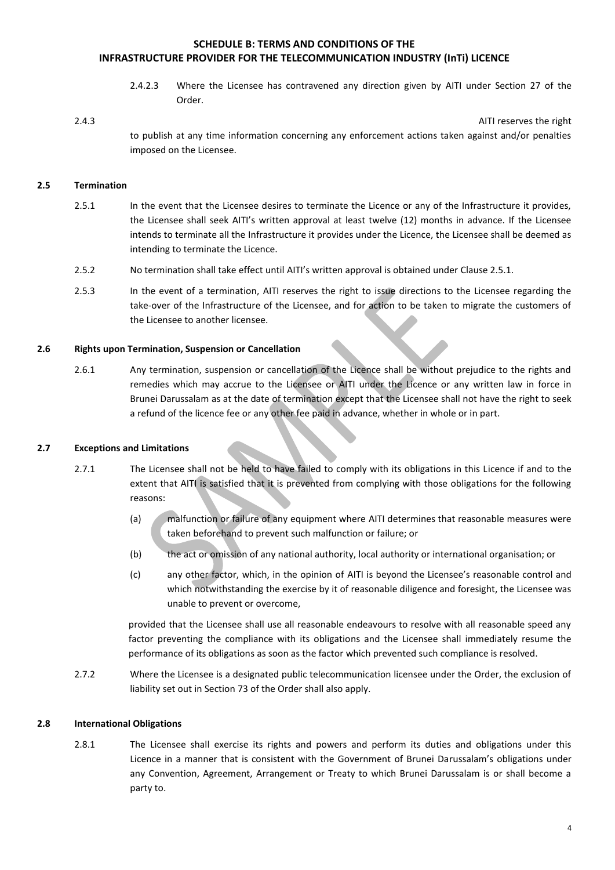2.4.2.3 Where the Licensee has contravened any direction given by AITI under Section 27 of the Order.

#### 2.4.3 AITI reserves the right

to publish at any time information concerning any enforcement actions taken against and/or penalties imposed on the Licensee.

#### **2.5 Termination**

- 2.5.1 In the event that the Licensee desires to terminate the Licence or any of the Infrastructure it provides, the Licensee shall seek AITI's written approval at least twelve (12) months in advance. If the Licensee intends to terminate all the Infrastructure it provides under the Licence, the Licensee shall be deemed as intending to terminate the Licence.
- 2.5.2 No termination shall take effect until AITI's written approval is obtained under Clause 2.5.1.
- 2.5.3 In the event of a termination, AITI reserves the right to issue directions to the Licensee regarding the take-over of the Infrastructure of the Licensee, and for action to be taken to migrate the customers of the Licensee to another licensee.

#### **2.6 Rights upon Termination, Suspension or Cancellation**

2.6.1 Any termination, suspension or cancellation of the Licence shall be without prejudice to the rights and remedies which may accrue to the Licensee or AITI under the Licence or any written law in force in Brunei Darussalam as at the date of termination except that the Licensee shall not have the right to seek a refund of the licence fee or any other fee paid in advance, whether in whole or in part.

#### **2.7 Exceptions and Limitations**

- 2.7.1 The Licensee shall not be held to have failed to comply with its obligations in this Licence if and to the extent that AITI is satisfied that it is prevented from complying with those obligations for the following reasons:
	- (a) malfunction or failure of any equipment where AITI determines that reasonable measures were taken beforehand to prevent such malfunction or failure; or
	- (b) the act or omission of any national authority, local authority or international organisation; or
	- (c) any other factor, which, in the opinion of AITI is beyond the Licensee's reasonable control and which notwithstanding the exercise by it of reasonable diligence and foresight, the Licensee was unable to prevent or overcome,

provided that the Licensee shall use all reasonable endeavours to resolve with all reasonable speed any factor preventing the compliance with its obligations and the Licensee shall immediately resume the performance of its obligations as soon as the factor which prevented such compliance is resolved.

2.7.2 Where the Licensee is a designated public telecommunication licensee under the Order, the exclusion of liability set out in Section 73 of the Order shall also apply.

#### **2.8 International Obligations**

2.8.1 The Licensee shall exercise its rights and powers and perform its duties and obligations under this Licence in a manner that is consistent with the Government of Brunei Darussalam's obligations under any Convention, Agreement, Arrangement or Treaty to which Brunei Darussalam is or shall become a party to.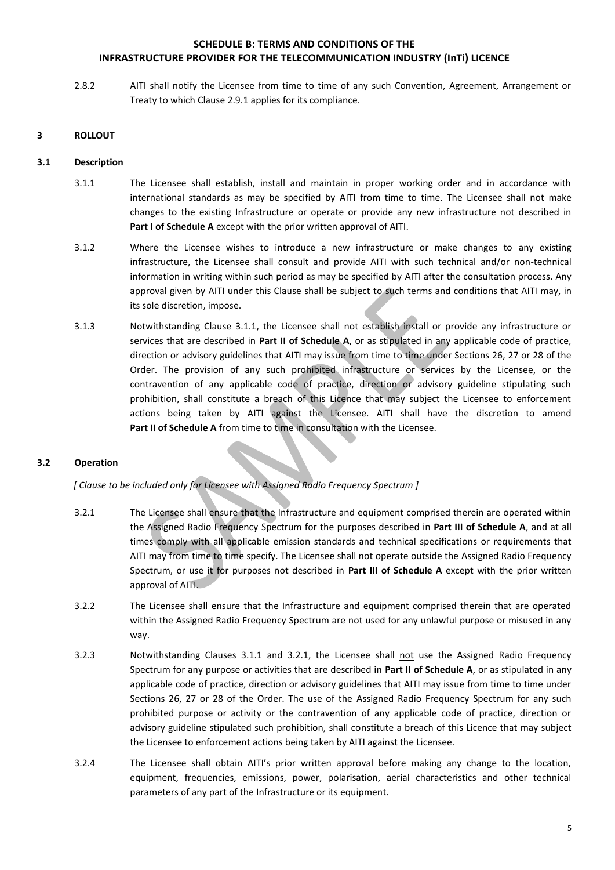2.8.2 AITI shall notify the Licensee from time to time of any such Convention, Agreement, Arrangement or Treaty to which Clause 2.9.1 applies for its compliance.

## **3 ROLLOUT**

#### **3.1 Description**

- 3.1.1 The Licensee shall establish, install and maintain in proper working order and in accordance with international standards as may be specified by AITI from time to time. The Licensee shall not make changes to the existing Infrastructure or operate or provide any new infrastructure not described in **Part I of Schedule A** except with the prior written approval of AITI.
- 3.1.2 Where the Licensee wishes to introduce a new infrastructure or make changes to any existing infrastructure, the Licensee shall consult and provide AITI with such technical and/or non-technical information in writing within such period as may be specified by AITI after the consultation process. Any approval given by AITI under this Clause shall be subject to such terms and conditions that AITI may, in its sole discretion, impose.
- 3.1.3 Notwithstanding Clause 3.1.1, the Licensee shall not establish install or provide any infrastructure or services that are described in **Part II of Schedule A**, or as stipulated in any applicable code of practice, direction or advisory guidelines that AITI may issue from time to time under Sections 26, 27 or 28 of the Order. The provision of any such prohibited infrastructure or services by the Licensee, or the contravention of any applicable code of practice, direction or advisory guideline stipulating such prohibition, shall constitute a breach of this Licence that may subject the Licensee to enforcement actions being taken by AITI against the Licensee. AITI shall have the discretion to amend **Part II of Schedule A** from time to time in consultation with the Licensee.

#### **3.2 Operation**

*[ Clause to be included only for Licensee with Assigned Radio Frequency Spectrum ]*

- 3.2.1 The Licensee shall ensure that the Infrastructure and equipment comprised therein are operated within the Assigned Radio Frequency Spectrum for the purposes described in **Part III of Schedule A**, and at all times comply with all applicable emission standards and technical specifications or requirements that AITI may from time to time specify. The Licensee shall not operate outside the Assigned Radio Frequency Spectrum, or use it for purposes not described in **Part III of Schedule A** except with the prior written approval of AITI.
- 3.2.2 The Licensee shall ensure that the Infrastructure and equipment comprised therein that are operated within the Assigned Radio Frequency Spectrum are not used for any unlawful purpose or misused in any way.
- 3.2.3 Notwithstanding Clauses 3.1.1 and 3.2.1, the Licensee shall not use the Assigned Radio Frequency Spectrum for any purpose or activities that are described in **Part II of Schedule A**, or as stipulated in any applicable code of practice, direction or advisory guidelines that AITI may issue from time to time under Sections 26, 27 or 28 of the Order. The use of the Assigned Radio Frequency Spectrum for any such prohibited purpose or activity or the contravention of any applicable code of practice, direction or advisory guideline stipulated such prohibition, shall constitute a breach of this Licence that may subject the Licensee to enforcement actions being taken by AITI against the Licensee.
- 3.2.4 The Licensee shall obtain AITI's prior written approval before making any change to the location, equipment, frequencies, emissions, power, polarisation, aerial characteristics and other technical parameters of any part of the Infrastructure or its equipment.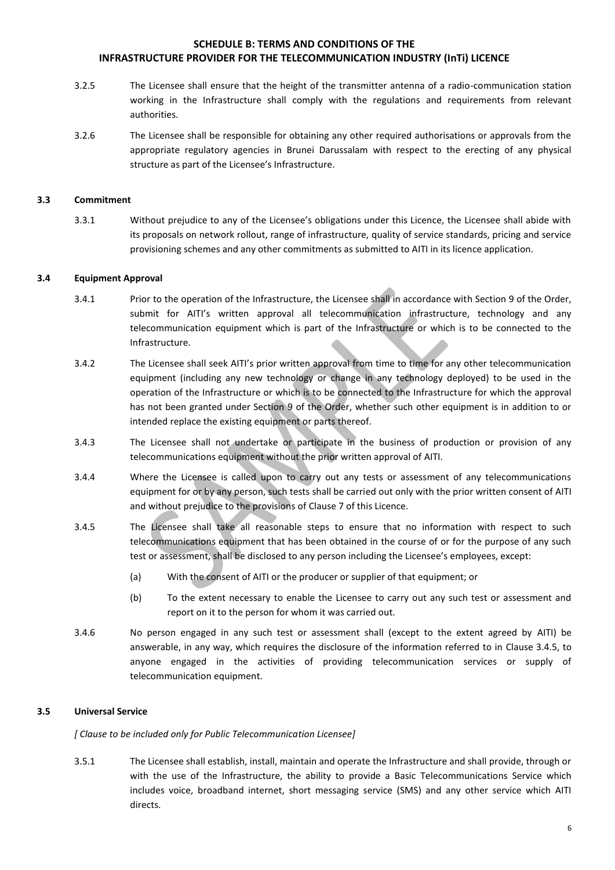- 3.2.5 The Licensee shall ensure that the height of the transmitter antenna of a radio-communication station working in the Infrastructure shall comply with the regulations and requirements from relevant authorities.
- 3.2.6 The Licensee shall be responsible for obtaining any other required authorisations or approvals from the appropriate regulatory agencies in Brunei Darussalam with respect to the erecting of any physical structure as part of the Licensee's Infrastructure.

#### **3.3 Commitment**

3.3.1 Without prejudice to any of the Licensee's obligations under this Licence, the Licensee shall abide with its proposals on network rollout, range of infrastructure, quality of service standards, pricing and service provisioning schemes and any other commitments as submitted to AITI in its licence application.

#### **3.4 Equipment Approval**

- 3.4.1 Prior to the operation of the Infrastructure, the Licensee shall in accordance with Section 9 of the Order, submit for AITI's written approval all telecommunication infrastructure, technology and any telecommunication equipment which is part of the Infrastructure or which is to be connected to the Infrastructure.
- 3.4.2 The Licensee shall seek AITI's prior written approval from time to time for any other telecommunication equipment (including any new technology or change in any technology deployed) to be used in the operation of the Infrastructure or which is to be connected to the Infrastructure for which the approval has not been granted under Section 9 of the Order, whether such other equipment is in addition to or intended replace the existing equipment or parts thereof.
- 3.4.3 The Licensee shall not undertake or participate in the business of production or provision of any telecommunications equipment without the prior written approval of AITI.
- 3.4.4 Where the Licensee is called upon to carry out any tests or assessment of any telecommunications equipment for or by any person, such tests shall be carried out only with the prior written consent of AITI and without prejudice to the provisions of Clause 7 of this Licence.
- 3.4.5 The Licensee shall take all reasonable steps to ensure that no information with respect to such telecommunications equipment that has been obtained in the course of or for the purpose of any such test or assessment, shall be disclosed to any person including the Licensee's employees, except:
	- (a) With the consent of AITI or the producer or supplier of that equipment; or
	- (b) To the extent necessary to enable the Licensee to carry out any such test or assessment and report on it to the person for whom it was carried out.
- 3.4.6 No person engaged in any such test or assessment shall (except to the extent agreed by AITI) be answerable, in any way, which requires the disclosure of the information referred to in Clause 3.4.5, to anyone engaged in the activities of providing telecommunication services or supply of telecommunication equipment.

## **3.5 Universal Service**

*[ Clause to be included only for Public Telecommunication Licensee]* 

3.5.1 The Licensee shall establish, install, maintain and operate the Infrastructure and shall provide, through or with the use of the Infrastructure, the ability to provide a Basic Telecommunications Service which includes voice, broadband internet, short messaging service (SMS) and any other service which AITI directs.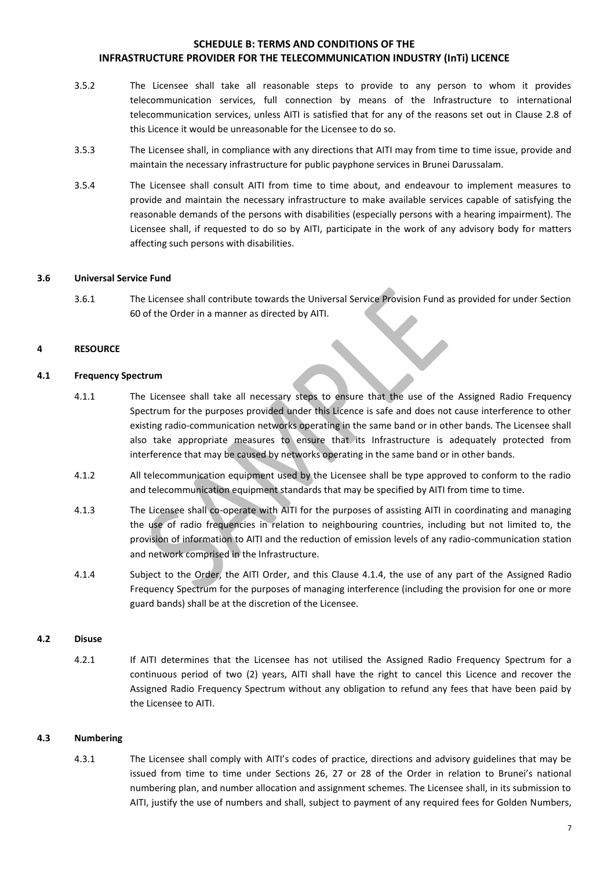- 3.5.2 The Licensee shall take all reasonable steps to provide to any person to whom it provides telecommunication services, full connection by means of the Infrastructure to international telecommunication services, unless AITI is satisfied that for any of the reasons set out in Clause 2.8 of this Licence it would be unreasonable for the Licensee to do so.
- 3.5.3 The Licensee shall, in compliance with any directions that AITI may from time to time issue, provide and maintain the necessary infrastructure for public payphone services in Brunei Darussalam.
- 3.5.4 The Licensee shall consult AITI from time to time about, and endeavour to implement measures to provide and maintain the necessary infrastructure to make available services capable of satisfying the reasonable demands of the persons with disabilities (especially persons with a hearing impairment). The Licensee shall, if requested to do so by AITI, participate in the work of any advisory body for matters affecting such persons with disabilities.

#### **3.6 Universal Service Fund**

3.6.1 The Licensee shall contribute towards the Universal Service Provision Fund as provided for under Section 60 of the Order in a manner as directed by AITI.

#### **4 RESOURCE**

#### **4.1 Frequency Spectrum**

- 4.1.1 The Licensee shall take all necessary steps to ensure that the use of the Assigned Radio Frequency Spectrum for the purposes provided under this Licence is safe and does not cause interference to other existing radio-communication networks operating in the same band or in other bands. The Licensee shall also take appropriate measures to ensure that its Infrastructure is adequately protected from interference that may be caused by networks operating in the same band or in other bands.
- 4.1.2 All telecommunication equipment used by the Licensee shall be type approved to conform to the radio and telecommunication equipment standards that may be specified by AITI from time to time.
- 4.1.3 The Licensee shall co-operate with AITI for the purposes of assisting AITI in coordinating and managing the use of radio frequencies in relation to neighbouring countries, including but not limited to, the provision of information to AITI and the reduction of emission levels of any radio-communication station and network comprised in the Infrastructure.
- 4.1.4 Subject to the Order, the AITI Order, and this Clause 4.1.4, the use of any part of the Assigned Radio Frequency Spectrum for the purposes of managing interference (including the provision for one or more guard bands) shall be at the discretion of the Licensee.

#### **4.2 Disuse**

4.2.1 If AITI determines that the Licensee has not utilised the Assigned Radio Frequency Spectrum for a continuous period of two (2) years, AITI shall have the right to cancel this Licence and recover the Assigned Radio Frequency Spectrum without any obligation to refund any fees that have been paid by the Licensee to AITI.

#### **4.3 Numbering**

4.3.1 The Licensee shall comply with AITI's codes of practice, directions and advisory guidelines that may be issued from time to time under Sections 26, 27 or 28 of the Order in relation to Brunei's national numbering plan, and number allocation and assignment schemes. The Licensee shall, in its submission to AITI, justify the use of numbers and shall, subject to payment of any required fees for Golden Numbers,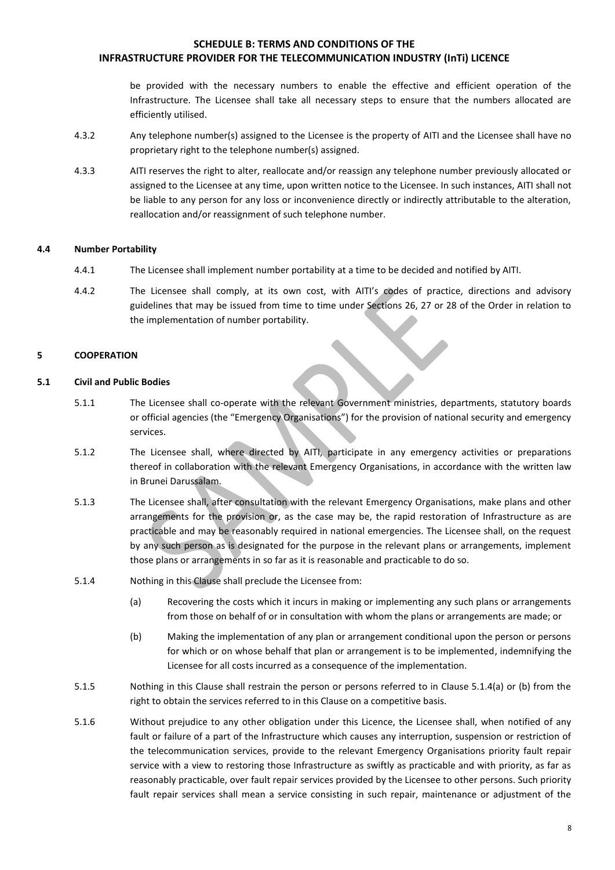be provided with the necessary numbers to enable the effective and efficient operation of the Infrastructure. The Licensee shall take all necessary steps to ensure that the numbers allocated are efficiently utilised.

- 4.3.2 Any telephone number(s) assigned to the Licensee is the property of AITI and the Licensee shall have no proprietary right to the telephone number(s) assigned.
- 4.3.3 AITI reserves the right to alter, reallocate and/or reassign any telephone number previously allocated or assigned to the Licensee at any time, upon written notice to the Licensee. In such instances, AITI shall not be liable to any person for any loss or inconvenience directly or indirectly attributable to the alteration, reallocation and/or reassignment of such telephone number.

#### **4.4 Number Portability**

- 4.4.1 The Licensee shall implement number portability at a time to be decided and notified by AITI.
- 4.4.2 The Licensee shall comply, at its own cost, with AITI's codes of practice, directions and advisory guidelines that may be issued from time to time under Sections 26, 27 or 28 of the Order in relation to the implementation of number portability.

#### **5 COOPERATION**

#### **5.1 Civil and Public Bodies**

- 5.1.1 The Licensee shall co-operate with the relevant Government ministries, departments, statutory boards or official agencies (the "Emergency Organisations") for the provision of national security and emergency services.
- 5.1.2 The Licensee shall, where directed by AITI, participate in any emergency activities or preparations thereof in collaboration with the relevant Emergency Organisations, in accordance with the written law in Brunei Darussalam.
- 5.1.3 The Licensee shall, after consultation with the relevant Emergency Organisations, make plans and other arrangements for the provision or, as the case may be, the rapid restoration of Infrastructure as are practicable and may be reasonably required in national emergencies. The Licensee shall, on the request by any such person as is designated for the purpose in the relevant plans or arrangements, implement those plans or arrangements in so far as it is reasonable and practicable to do so.
- 5.1.4 Nothing in this Clause shall preclude the Licensee from:
	- (a) Recovering the costs which it incurs in making or implementing any such plans or arrangements from those on behalf of or in consultation with whom the plans or arrangements are made; or
	- (b) Making the implementation of any plan or arrangement conditional upon the person or persons for which or on whose behalf that plan or arrangement is to be implemented, indemnifying the Licensee for all costs incurred as a consequence of the implementation.
- 5.1.5 Nothing in this Clause shall restrain the person or persons referred to in Clause 5.1.4(a) or (b) from the right to obtain the services referred to in this Clause on a competitive basis.
- 5.1.6 Without prejudice to any other obligation under this Licence, the Licensee shall, when notified of any fault or failure of a part of the Infrastructure which causes any interruption, suspension or restriction of the telecommunication services, provide to the relevant Emergency Organisations priority fault repair service with a view to restoring those Infrastructure as swiftly as practicable and with priority, as far as reasonably practicable, over fault repair services provided by the Licensee to other persons. Such priority fault repair services shall mean a service consisting in such repair, maintenance or adjustment of the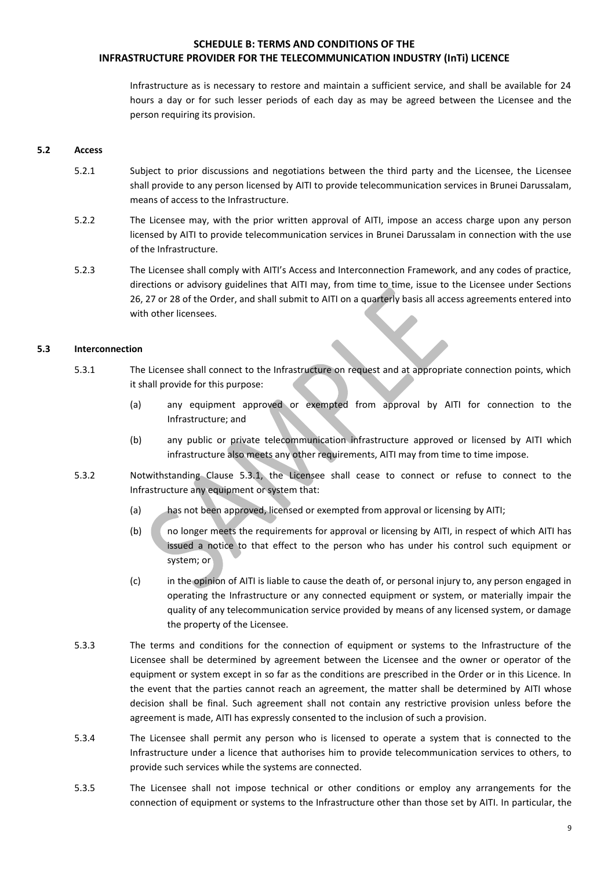Infrastructure as is necessary to restore and maintain a sufficient service, and shall be available for 24 hours a day or for such lesser periods of each day as may be agreed between the Licensee and the person requiring its provision.

#### **5.2 Access**

- 5.2.1 Subject to prior discussions and negotiations between the third party and the Licensee, the Licensee shall provide to any person licensed by AITI to provide telecommunication services in Brunei Darussalam, means of access to the Infrastructure.
- 5.2.2 The Licensee may, with the prior written approval of AITI, impose an access charge upon any person licensed by AITI to provide telecommunication services in Brunei Darussalam in connection with the use of the Infrastructure.
- 5.2.3 The Licensee shall comply with AITI's Access and Interconnection Framework, and any codes of practice, directions or advisory guidelines that AITI may, from time to time, issue to the Licensee under Sections 26, 27 or 28 of the Order, and shall submit to AITI on a quarterly basis all access agreements entered into with other licensees.

#### **5.3 Interconnection**

- 5.3.1 The Licensee shall connect to the Infrastructure on request and at appropriate connection points, which it shall provide for this purpose:
	- (a) any equipment approved or exempted from approval by AITI for connection to the Infrastructure; and
	- (b) any public or private telecommunication infrastructure approved or licensed by AITI which infrastructure also meets any other requirements, AITI may from time to time impose.
- 5.3.2 Notwithstanding Clause 5.3.1, the Licensee shall cease to connect or refuse to connect to the Infrastructure any equipment or system that:
	- (a) has not been approved, licensed or exempted from approval or licensing by AITI;
	- (b) no longer meets the requirements for approval or licensing by AITI, in respect of which AITI has issued a notice to that effect to the person who has under his control such equipment or system; or
	- (c) in the opinion of AITI is liable to cause the death of, or personal injury to, any person engaged in operating the Infrastructure or any connected equipment or system, or materially impair the quality of any telecommunication service provided by means of any licensed system, or damage the property of the Licensee.
- 5.3.3 The terms and conditions for the connection of equipment or systems to the Infrastructure of the Licensee shall be determined by agreement between the Licensee and the owner or operator of the equipment or system except in so far as the conditions are prescribed in the Order or in this Licence. In the event that the parties cannot reach an agreement, the matter shall be determined by AITI whose decision shall be final. Such agreement shall not contain any restrictive provision unless before the agreement is made, AITI has expressly consented to the inclusion of such a provision.
- 5.3.4 The Licensee shall permit any person who is licensed to operate a system that is connected to the Infrastructure under a licence that authorises him to provide telecommunication services to others, to provide such services while the systems are connected.
- 5.3.5 The Licensee shall not impose technical or other conditions or employ any arrangements for the connection of equipment or systems to the Infrastructure other than those set by AITI. In particular, the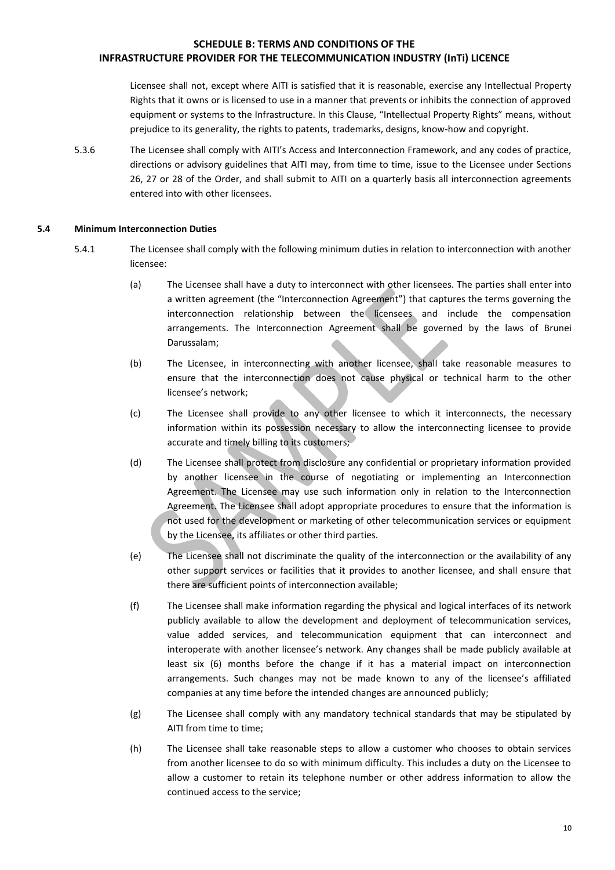Licensee shall not, except where AITI is satisfied that it is reasonable, exercise any Intellectual Property Rights that it owns or is licensed to use in a manner that prevents or inhibits the connection of approved equipment or systems to the Infrastructure. In this Clause, "Intellectual Property Rights" means, without prejudice to its generality, the rights to patents, trademarks, designs, know-how and copyright.

5.3.6 The Licensee shall comply with AITI's Access and Interconnection Framework, and any codes of practice, directions or advisory guidelines that AITI may, from time to time, issue to the Licensee under Sections 26, 27 or 28 of the Order, and shall submit to AITI on a quarterly basis all interconnection agreements entered into with other licensees.

#### **5.4 Minimum Interconnection Duties**

- 5.4.1 The Licensee shall comply with the following minimum duties in relation to interconnection with another licensee:
	- (a) The Licensee shall have a duty to interconnect with other licensees. The parties shall enter into a written agreement (the "Interconnection Agreement") that captures the terms governing the interconnection relationship between the licensees and include the compensation arrangements. The Interconnection Agreement shall be governed by the laws of Brunei Darussalam;
	- (b) The Licensee, in interconnecting with another licensee, shall take reasonable measures to ensure that the interconnection does not cause physical or technical harm to the other licensee's network;
	- (c) The Licensee shall provide to any other licensee to which it interconnects, the necessary information within its possession necessary to allow the interconnecting licensee to provide accurate and timely billing to its customers;
	- (d) The Licensee shall protect from disclosure any confidential or proprietary information provided by another licensee in the course of negotiating or implementing an Interconnection Agreement. The Licensee may use such information only in relation to the Interconnection Agreement. The Licensee shall adopt appropriate procedures to ensure that the information is not used for the development or marketing of other telecommunication services or equipment by the Licensee, its affiliates or other third parties.
	- (e) The Licensee shall not discriminate the quality of the interconnection or the availability of any other support services or facilities that it provides to another licensee, and shall ensure that there are sufficient points of interconnection available;
	- (f) The Licensee shall make information regarding the physical and logical interfaces of its network publicly available to allow the development and deployment of telecommunication services, value added services, and telecommunication equipment that can interconnect and interoperate with another licensee's network. Any changes shall be made publicly available at least six (6) months before the change if it has a material impact on interconnection arrangements. Such changes may not be made known to any of the licensee's affiliated companies at any time before the intended changes are announced publicly;
	- (g) The Licensee shall comply with any mandatory technical standards that may be stipulated by AITI from time to time;
	- (h) The Licensee shall take reasonable steps to allow a customer who chooses to obtain services from another licensee to do so with minimum difficulty. This includes a duty on the Licensee to allow a customer to retain its telephone number or other address information to allow the continued access to the service;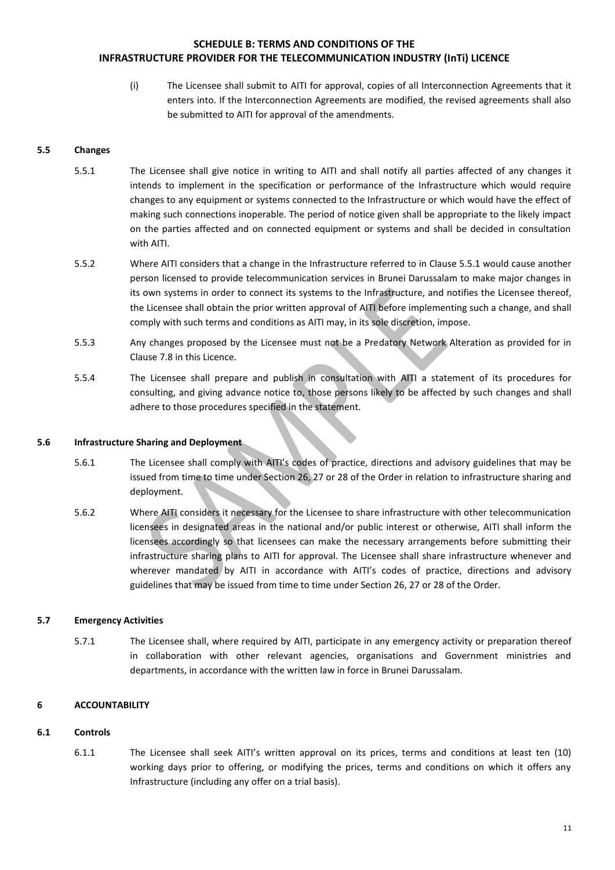(i) The Licensee shall submit to AITI for approval, copies of all Interconnection Agreements that it enters into. If the Interconnection Agreements are modified, the revised agreements shall also be submitted to AITI for approval of the amendments.

### **5.5 Changes**

- 5.5.1 The Licensee shall give notice in writing to AITI and shall notify all parties affected of any changes it intends to implement in the specification or performance of the Infrastructure which would require changes to any equipment or systems connected to the Infrastructure or which would have the effect of making such connections inoperable. The period of notice given shall be appropriate to the likely impact on the parties affected and on connected equipment or systems and shall be decided in consultation with AITI.
- 5.5.2 Where AITI considers that a change in the Infrastructure referred to in Clause 5.5.1 would cause another person licensed to provide telecommunication services in Brunei Darussalam to make major changes in its own systems in order to connect its systems to the Infrastructure, and notifies the Licensee thereof, the Licensee shall obtain the prior written approval of AITI before implementing such a change, and shall comply with such terms and conditions as AITI may, in its sole discretion, impose.
- 5.5.3 Any changes proposed by the Licensee must not be a Predatory Network Alteration as provided for in Clause 7.8 in this Licence.
- 5.5.4 The Licensee shall prepare and publish in consultation with AITI a statement of its procedures for consulting, and giving advance notice to, those persons likely to be affected by such changes and shall adhere to those procedures specified in the statement.

#### **5.6 Infrastructure Sharing and Deployment**

- 5.6.1 The Licensee shall comply with AITI's codes of practice, directions and advisory guidelines that may be issued from time to time under Section 26, 27 or 28 of the Order in relation to infrastructure sharing and deployment.
- 5.6.2 Where AITI considers it necessary for the Licensee to share infrastructure with other telecommunication licensees in designated areas in the national and/or public interest or otherwise, AITI shall inform the licensees accordingly so that licensees can make the necessary arrangements before submitting their infrastructure sharing plans to AITI for approval. The Licensee shall share infrastructure whenever and wherever mandated by AITI in accordance with AITI's codes of practice, directions and advisory guidelines that may be issued from time to time under Section 26, 27 or 28 of the Order.

## **5.7 Emergency Activities**

5.7.1 The Licensee shall, where required by AITI, participate in any emergency activity or preparation thereof in collaboration with other relevant agencies, organisations and Government ministries and departments, in accordance with the written law in force in Brunei Darussalam.

## **6 ACCOUNTABILITY**

#### **6.1 Controls**

6.1.1 The Licensee shall seek AITI's written approval on its prices, terms and conditions at least ten (10) working days prior to offering, or modifying the prices, terms and conditions on which it offers any Infrastructure (including any offer on a trial basis).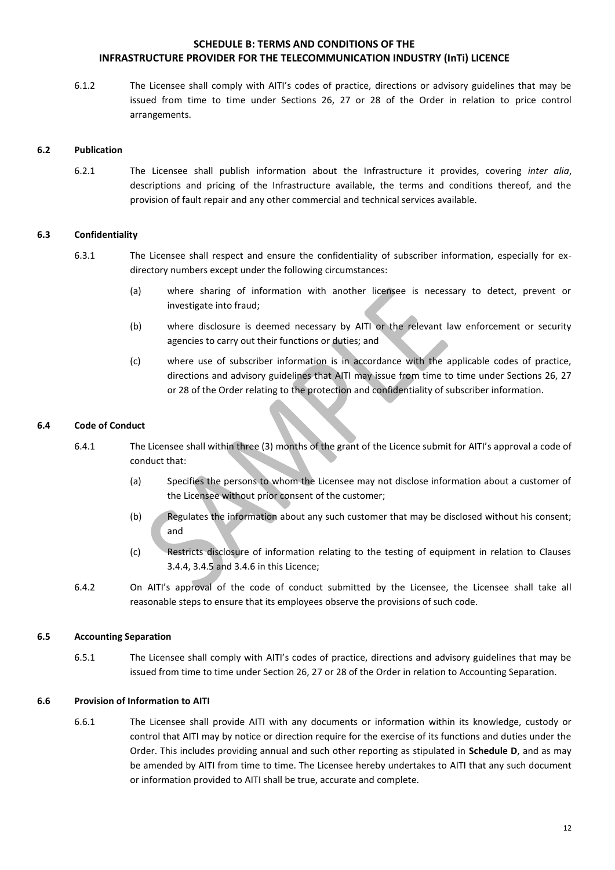6.1.2 The Licensee shall comply with AITI's codes of practice, directions or advisory guidelines that may be issued from time to time under Sections 26, 27 or 28 of the Order in relation to price control arrangements.

#### **6.2 Publication**

6.2.1 The Licensee shall publish information about the Infrastructure it provides, covering *inter alia*, descriptions and pricing of the Infrastructure available, the terms and conditions thereof, and the provision of fault repair and any other commercial and technical services available.

#### **6.3 Confidentiality**

- 6.3.1 The Licensee shall respect and ensure the confidentiality of subscriber information, especially for exdirectory numbers except under the following circumstances:
	- (a) where sharing of information with another licensee is necessary to detect, prevent or investigate into fraud;
	- (b) where disclosure is deemed necessary by AITI or the relevant law enforcement or security agencies to carry out their functions or duties; and
	- (c) where use of subscriber information is in accordance with the applicable codes of practice, directions and advisory guidelines that AITI may issue from time to time under Sections 26, 27 or 28 of the Order relating to the protection and confidentiality of subscriber information.

#### **6.4 Code of Conduct**

- 6.4.1 The Licensee shall within three (3) months of the grant of the Licence submit for AITI's approval a code of conduct that:
	- (a) Specifies the persons to whom the Licensee may not disclose information about a customer of the Licensee without prior consent of the customer;
	- (b) Regulates the information about any such customer that may be disclosed without his consent; and
	- (c) Restricts disclosure of information relating to the testing of equipment in relation to Clauses 3.4.4, 3.4.5 and 3.4.6 in this Licence;
- 6.4.2 On AITI's approval of the code of conduct submitted by the Licensee, the Licensee shall take all reasonable steps to ensure that its employees observe the provisions of such code.

#### **6.5 Accounting Separation**

6.5.1 The Licensee shall comply with AITI's codes of practice, directions and advisory guidelines that may be issued from time to time under Section 26, 27 or 28 of the Order in relation to Accounting Separation.

## **6.6 Provision of Information to AITI**

6.6.1 The Licensee shall provide AITI with any documents or information within its knowledge, custody or control that AITI may by notice or direction require for the exercise of its functions and duties under the Order. This includes providing annual and such other reporting as stipulated in **Schedule D**, and as may be amended by AITI from time to time. The Licensee hereby undertakes to AITI that any such document or information provided to AITI shall be true, accurate and complete.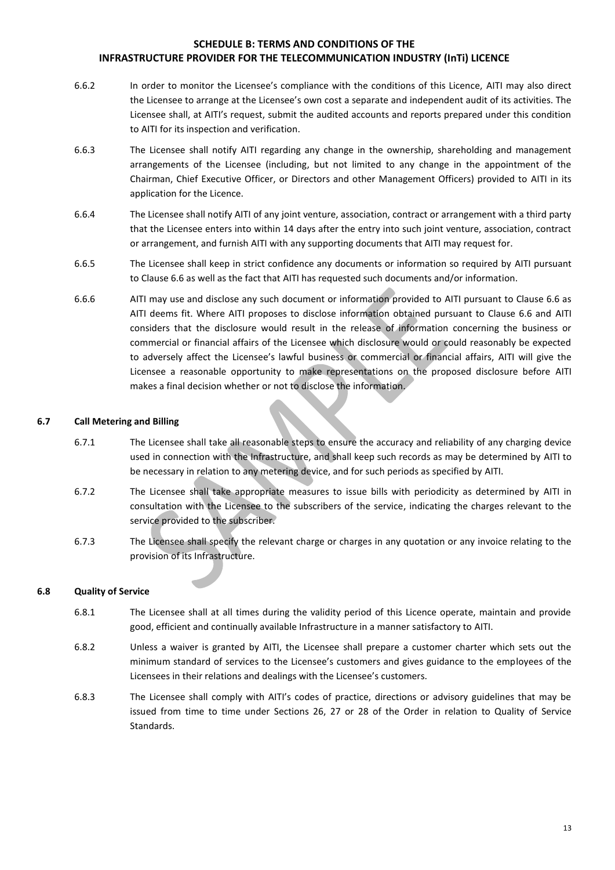- 6.6.2 In order to monitor the Licensee's compliance with the conditions of this Licence, AITI may also direct the Licensee to arrange at the Licensee's own cost a separate and independent audit of its activities. The Licensee shall, at AITI's request, submit the audited accounts and reports prepared under this condition to AITI for its inspection and verification.
- 6.6.3 The Licensee shall notify AITI regarding any change in the ownership, shareholding and management arrangements of the Licensee (including, but not limited to any change in the appointment of the Chairman, Chief Executive Officer, or Directors and other Management Officers) provided to AITI in its application for the Licence.
- 6.6.4 The Licensee shall notify AITI of any joint venture, association, contract or arrangement with a third party that the Licensee enters into within 14 days after the entry into such joint venture, association, contract or arrangement, and furnish AITI with any supporting documents that AITI may request for.
- 6.6.5 The Licensee shall keep in strict confidence any documents or information so required by AITI pursuant to Clause 6.6 as well as the fact that AITI has requested such documents and/or information.
- 6.6.6 AITI may use and disclose any such document or information provided to AITI pursuant to Clause 6.6 as AITI deems fit. Where AITI proposes to disclose information obtained pursuant to Clause 6.6 and AITI considers that the disclosure would result in the release of information concerning the business or commercial or financial affairs of the Licensee which disclosure would or could reasonably be expected to adversely affect the Licensee's lawful business or commercial or financial affairs, AITI will give the Licensee a reasonable opportunity to make representations on the proposed disclosure before AITI makes a final decision whether or not to disclose the information.

## **6.7 Call Metering and Billing**

- 6.7.1 The Licensee shall take all reasonable steps to ensure the accuracy and reliability of any charging device used in connection with the Infrastructure, and shall keep such records as may be determined by AITI to be necessary in relation to any metering device, and for such periods as specified by AITI.
- 6.7.2 The Licensee shall take appropriate measures to issue bills with periodicity as determined by AITI in consultation with the Licensee to the subscribers of the service, indicating the charges relevant to the service provided to the subscriber.
- 6.7.3 The Licensee shall specify the relevant charge or charges in any quotation or any invoice relating to the provision of its Infrastructure.

## **6.8 Quality of Service**

- 6.8.1 The Licensee shall at all times during the validity period of this Licence operate, maintain and provide good, efficient and continually available Infrastructure in a manner satisfactory to AITI.
- 6.8.2 Unless a waiver is granted by AITI, the Licensee shall prepare a customer charter which sets out the minimum standard of services to the Licensee's customers and gives guidance to the employees of the Licensees in their relations and dealings with the Licensee's customers.
- 6.8.3 The Licensee shall comply with AITI's codes of practice, directions or advisory guidelines that may be issued from time to time under Sections 26, 27 or 28 of the Order in relation to Quality of Service Standards.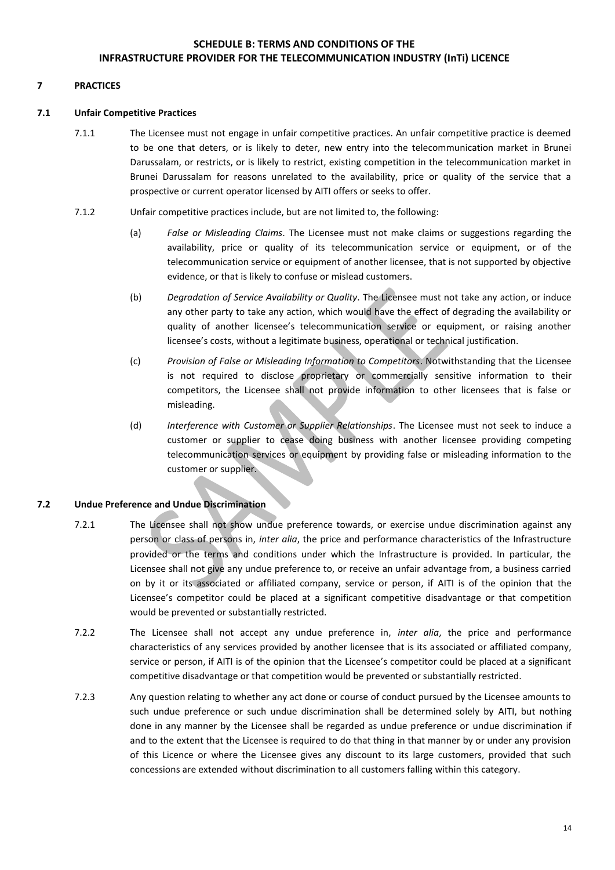## **7 PRACTICES**

#### **7.1 Unfair Competitive Practices**

- 7.1.1 The Licensee must not engage in unfair competitive practices. An unfair competitive practice is deemed to be one that deters, or is likely to deter, new entry into the telecommunication market in Brunei Darussalam, or restricts, or is likely to restrict, existing competition in the telecommunication market in Brunei Darussalam for reasons unrelated to the availability, price or quality of the service that a prospective or current operator licensed by AITI offers or seeks to offer.
- 7.1.2 Unfair competitive practices include, but are not limited to, the following:
	- (a) *False or Misleading Claims*. The Licensee must not make claims or suggestions regarding the availability, price or quality of its telecommunication service or equipment, or of the telecommunication service or equipment of another licensee, that is not supported by objective evidence, or that is likely to confuse or mislead customers.
	- (b) *Degradation of Service Availability or Quality*. The Licensee must not take any action, or induce any other party to take any action, which would have the effect of degrading the availability or quality of another licensee's telecommunication service or equipment, or raising another licensee's costs, without a legitimate business, operational or technical justification.
	- (c) *Provision of False or Misleading Information to Competitors*. Notwithstanding that the Licensee is not required to disclose proprietary or commercially sensitive information to their competitors, the Licensee shall not provide information to other licensees that is false or misleading.
	- (d) *Interference with Customer or Supplier Relationships*. The Licensee must not seek to induce a customer or supplier to cease doing business with another licensee providing competing telecommunication services or equipment by providing false or misleading information to the customer or supplier.

## **7.2 Undue Preference and Undue Discrimination**

- 7.2.1 The Licensee shall not show undue preference towards, or exercise undue discrimination against any person or class of persons in, *inter alia*, the price and performance characteristics of the Infrastructure provided or the terms and conditions under which the Infrastructure is provided. In particular, the Licensee shall not give any undue preference to, or receive an unfair advantage from, a business carried on by it or its associated or affiliated company, service or person, if AITI is of the opinion that the Licensee's competitor could be placed at a significant competitive disadvantage or that competition would be prevented or substantially restricted.
- 7.2.2 The Licensee shall not accept any undue preference in, *inter alia*, the price and performance characteristics of any services provided by another licensee that is its associated or affiliated company, service or person, if AITI is of the opinion that the Licensee's competitor could be placed at a significant competitive disadvantage or that competition would be prevented or substantially restricted.
- 7.2.3 Any question relating to whether any act done or course of conduct pursued by the Licensee amounts to such undue preference or such undue discrimination shall be determined solely by AITI, but nothing done in any manner by the Licensee shall be regarded as undue preference or undue discrimination if and to the extent that the Licensee is required to do that thing in that manner by or under any provision of this Licence or where the Licensee gives any discount to its large customers, provided that such concessions are extended without discrimination to all customers falling within this category.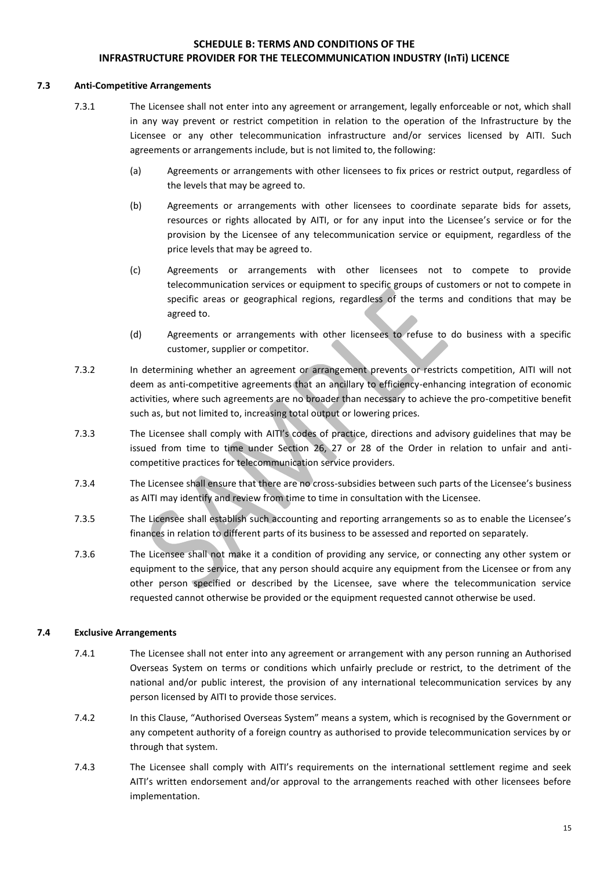### **7.3 Anti-Competitive Arrangements**

- 7.3.1 The Licensee shall not enter into any agreement or arrangement, legally enforceable or not, which shall in any way prevent or restrict competition in relation to the operation of the Infrastructure by the Licensee or any other telecommunication infrastructure and/or services licensed by AITI. Such agreements or arrangements include, but is not limited to, the following:
	- (a) Agreements or arrangements with other licensees to fix prices or restrict output, regardless of the levels that may be agreed to.
	- (b) Agreements or arrangements with other licensees to coordinate separate bids for assets, resources or rights allocated by AITI, or for any input into the Licensee's service or for the provision by the Licensee of any telecommunication service or equipment, regardless of the price levels that may be agreed to.
	- (c) Agreements or arrangements with other licensees not to compete to provide telecommunication services or equipment to specific groups of customers or not to compete in specific areas or geographical regions, regardless of the terms and conditions that may be agreed to.
	- (d) Agreements or arrangements with other licensees to refuse to do business with a specific customer, supplier or competitor.
- 7.3.2 In determining whether an agreement or arrangement prevents or restricts competition, AITI will not deem as anti-competitive agreements that an ancillary to efficiency-enhancing integration of economic activities, where such agreements are no broader than necessary to achieve the pro-competitive benefit such as, but not limited to, increasing total output or lowering prices.
- 7.3.3 The Licensee shall comply with AITI's codes of practice, directions and advisory guidelines that may be issued from time to time under Section 26, 27 or 28 of the Order in relation to unfair and anticompetitive practices for telecommunication service providers.
- 7.3.4 The Licensee shall ensure that there are no cross-subsidies between such parts of the Licensee's business as AITI may identify and review from time to time in consultation with the Licensee.
- 7.3.5 The Licensee shall establish such accounting and reporting arrangements so as to enable the Licensee's finances in relation to different parts of its business to be assessed and reported on separately.
- 7.3.6 The Licensee shall not make it a condition of providing any service, or connecting any other system or equipment to the service, that any person should acquire any equipment from the Licensee or from any other person specified or described by the Licensee, save where the telecommunication service requested cannot otherwise be provided or the equipment requested cannot otherwise be used.

## **7.4 Exclusive Arrangements**

- 7.4.1 The Licensee shall not enter into any agreement or arrangement with any person running an Authorised Overseas System on terms or conditions which unfairly preclude or restrict, to the detriment of the national and/or public interest, the provision of any international telecommunication services by any person licensed by AITI to provide those services.
- 7.4.2 In this Clause, "Authorised Overseas System" means a system, which is recognised by the Government or any competent authority of a foreign country as authorised to provide telecommunication services by or through that system.
- 7.4.3 The Licensee shall comply with AITI's requirements on the international settlement regime and seek AITI's written endorsement and/or approval to the arrangements reached with other licensees before implementation.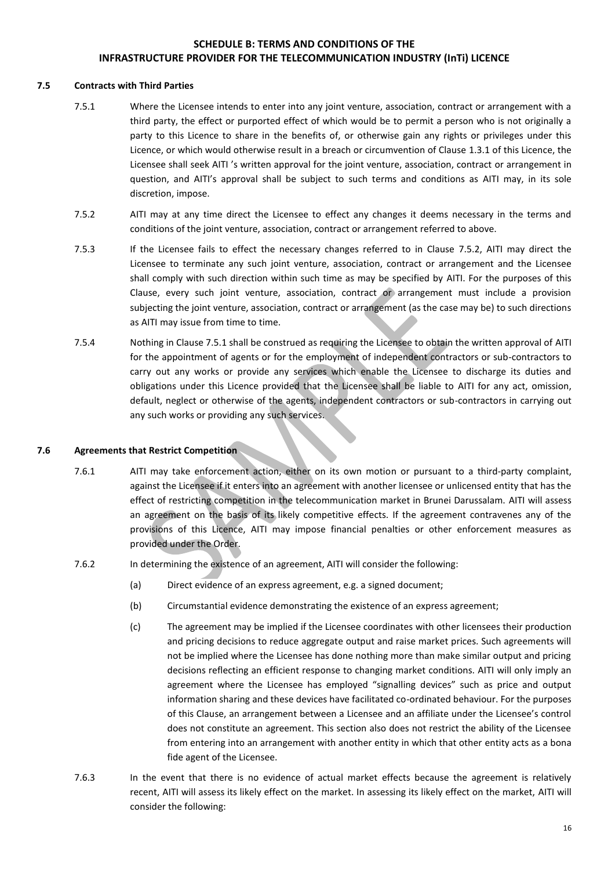#### **7.5 Contracts with Third Parties**

- 7.5.1 Where the Licensee intends to enter into any joint venture, association, contract or arrangement with a third party, the effect or purported effect of which would be to permit a person who is not originally a party to this Licence to share in the benefits of, or otherwise gain any rights or privileges under this Licence, or which would otherwise result in a breach or circumvention of Clause 1.3.1 of this Licence, the Licensee shall seek AITI 's written approval for the joint venture, association, contract or arrangement in question, and AITI's approval shall be subject to such terms and conditions as AITI may, in its sole discretion, impose.
- 7.5.2 AITI may at any time direct the Licensee to effect any changes it deems necessary in the terms and conditions of the joint venture, association, contract or arrangement referred to above.
- 7.5.3 If the Licensee fails to effect the necessary changes referred to in Clause 7.5.2, AITI may direct the Licensee to terminate any such joint venture, association, contract or arrangement and the Licensee shall comply with such direction within such time as may be specified by AITI. For the purposes of this Clause, every such joint venture, association, contract or arrangement must include a provision subjecting the joint venture, association, contract or arrangement (as the case may be) to such directions as AITI may issue from time to time.
- 7.5.4 Nothing in Clause 7.5.1 shall be construed as requiring the Licensee to obtain the written approval of AITI for the appointment of agents or for the employment of independent contractors or sub-contractors to carry out any works or provide any services which enable the Licensee to discharge its duties and obligations under this Licence provided that the Licensee shall be liable to AITI for any act, omission, default, neglect or otherwise of the agents, independent contractors or sub-contractors in carrying out any such works or providing any such services.

## **7.6 Agreements that Restrict Competition**

- 7.6.1 AITI may take enforcement action, either on its own motion or pursuant to a third-party complaint, against the Licensee if it enters into an agreement with another licensee or unlicensed entity that has the effect of restricting competition in the telecommunication market in Brunei Darussalam. AITI will assess an agreement on the basis of its likely competitive effects. If the agreement contravenes any of the provisions of this Licence, AITI may impose financial penalties or other enforcement measures as provided under the Order.
- 7.6.2 In determining the existence of an agreement, AITI will consider the following:
	- (a) Direct evidence of an express agreement, e.g. a signed document;
	- (b) Circumstantial evidence demonstrating the existence of an express agreement;
	- (c) The agreement may be implied if the Licensee coordinates with other licensees their production and pricing decisions to reduce aggregate output and raise market prices. Such agreements will not be implied where the Licensee has done nothing more than make similar output and pricing decisions reflecting an efficient response to changing market conditions. AITI will only imply an agreement where the Licensee has employed "signalling devices" such as price and output information sharing and these devices have facilitated co-ordinated behaviour. For the purposes of this Clause, an arrangement between a Licensee and an affiliate under the Licensee's control does not constitute an agreement. This section also does not restrict the ability of the Licensee from entering into an arrangement with another entity in which that other entity acts as a bona fide agent of the Licensee.
- 7.6.3 In the event that there is no evidence of actual market effects because the agreement is relatively recent, AITI will assess its likely effect on the market. In assessing its likely effect on the market, AITI will consider the following: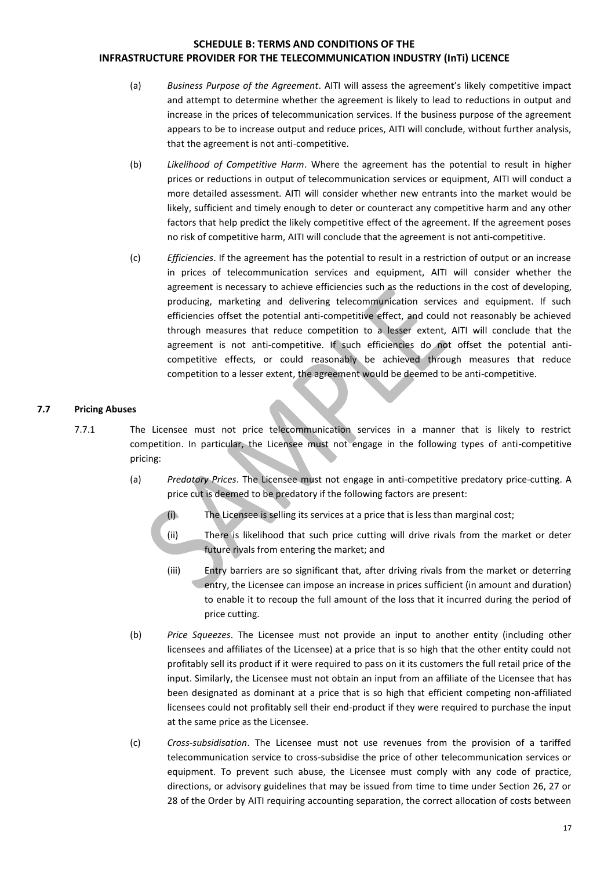- (a) *Business Purpose of the Agreement*. AITI will assess the agreement's likely competitive impact and attempt to determine whether the agreement is likely to lead to reductions in output and increase in the prices of telecommunication services. If the business purpose of the agreement appears to be to increase output and reduce prices, AITI will conclude, without further analysis, that the agreement is not anti-competitive.
- (b) *Likelihood of Competitive Harm*. Where the agreement has the potential to result in higher prices or reductions in output of telecommunication services or equipment, AITI will conduct a more detailed assessment. AITI will consider whether new entrants into the market would be likely, sufficient and timely enough to deter or counteract any competitive harm and any other factors that help predict the likely competitive effect of the agreement. If the agreement poses no risk of competitive harm, AITI will conclude that the agreement is not anti-competitive.
- (c) *Efficiencies*. If the agreement has the potential to result in a restriction of output or an increase in prices of telecommunication services and equipment, AITI will consider whether the agreement is necessary to achieve efficiencies such as the reductions in the cost of developing, producing, marketing and delivering telecommunication services and equipment. If such efficiencies offset the potential anti-competitive effect, and could not reasonably be achieved through measures that reduce competition to a lesser extent, AITI will conclude that the agreement is not anti-competitive. If such efficiencies do not offset the potential anticompetitive effects, or could reasonably be achieved through measures that reduce competition to a lesser extent, the agreement would be deemed to be anti-competitive.

## **7.7 Pricing Abuses**

- 7.7.1 The Licensee must not price telecommunication services in a manner that is likely to restrict competition. In particular, the Licensee must not engage in the following types of anti-competitive pricing:
	- (a) *Predatory Prices*. The Licensee must not engage in anti-competitive predatory price-cutting. A price cut is deemed to be predatory if the following factors are present:
		- (i) The Licensee is selling its services at a price that is less than marginal cost;
		- (ii) There is likelihood that such price cutting will drive rivals from the market or deter future rivals from entering the market; and
		- (iii) Entry barriers are so significant that, after driving rivals from the market or deterring entry, the Licensee can impose an increase in prices sufficient (in amount and duration) to enable it to recoup the full amount of the loss that it incurred during the period of price cutting.
	- (b) *Price Squeezes*. The Licensee must not provide an input to another entity (including other licensees and affiliates of the Licensee) at a price that is so high that the other entity could not profitably sell its product if it were required to pass on it its customers the full retail price of the input. Similarly, the Licensee must not obtain an input from an affiliate of the Licensee that has been designated as dominant at a price that is so high that efficient competing non-affiliated licensees could not profitably sell their end-product if they were required to purchase the input at the same price as the Licensee.
	- (c) *Cross-subsidisation*. The Licensee must not use revenues from the provision of a tariffed telecommunication service to cross-subsidise the price of other telecommunication services or equipment. To prevent such abuse, the Licensee must comply with any code of practice, directions, or advisory guidelines that may be issued from time to time under Section 26, 27 or 28 of the Order by AITI requiring accounting separation, the correct allocation of costs between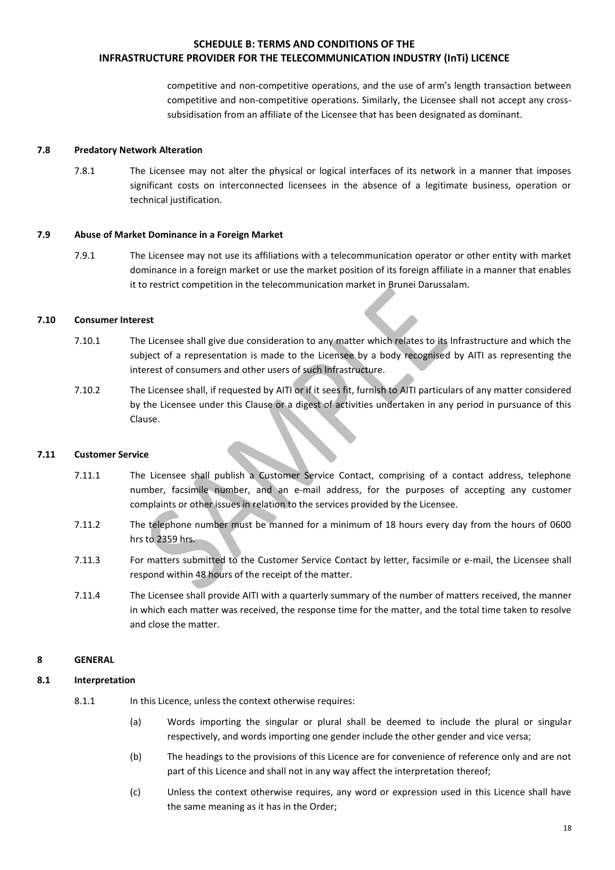competitive and non-competitive operations, and the use of arm's length transaction between competitive and non-competitive operations. Similarly, the Licensee shall not accept any crosssubsidisation from an affiliate of the Licensee that has been designated as dominant.

#### **7.8 Predatory Network Alteration**

7.8.1 The Licensee may not alter the physical or logical interfaces of its network in a manner that imposes significant costs on interconnected licensees in the absence of a legitimate business, operation or technical justification.

#### **7.9 Abuse of Market Dominance in a Foreign Market**

7.9.1 The Licensee may not use its affiliations with a telecommunication operator or other entity with market dominance in a foreign market or use the market position of its foreign affiliate in a manner that enables it to restrict competition in the telecommunication market in Brunei Darussalam.

#### **7.10 Consumer Interest**

- 7.10.1 The Licensee shall give due consideration to any matter which relates to its Infrastructure and which the subject of a representation is made to the Licensee by a body recognised by AITI as representing the interest of consumers and other users of such Infrastructure.
- 7.10.2 The Licensee shall, if requested by AITI or if it sees fit, furnish to AITI particulars of any matter considered by the Licensee under this Clause or a digest of activities undertaken in any period in pursuance of this Clause.

#### **7.11 Customer Service**

- 7.11.1 The Licensee shall publish a Customer Service Contact, comprising of a contact address, telephone number, facsimile number, and an e-mail address, for the purposes of accepting any customer complaints or other issues in relation to the services provided by the Licensee.
- 7.11.2 The telephone number must be manned for a minimum of 18 hours every day from the hours of 0600 hrs to 2359 hrs.
- 7.11.3 For matters submitted to the Customer Service Contact by letter, facsimile or e-mail, the Licensee shall respond within 48 hours of the receipt of the matter.
- 7.11.4 The Licensee shall provide AITI with a quarterly summary of the number of matters received, the manner in which each matter was received, the response time for the matter, and the total time taken to resolve and close the matter.

#### **8 GENERAL**

#### **8.1 Interpretation**

8.1.1 In this Licence, unless the context otherwise requires:

- (a) Words importing the singular or plural shall be deemed to include the plural or singular respectively, and words importing one gender include the other gender and vice versa;
- (b) The headings to the provisions of this Licence are for convenience of reference only and are not part of this Licence and shall not in any way affect the interpretation thereof;
- (c) Unless the context otherwise requires, any word or expression used in this Licence shall have the same meaning as it has in the Order;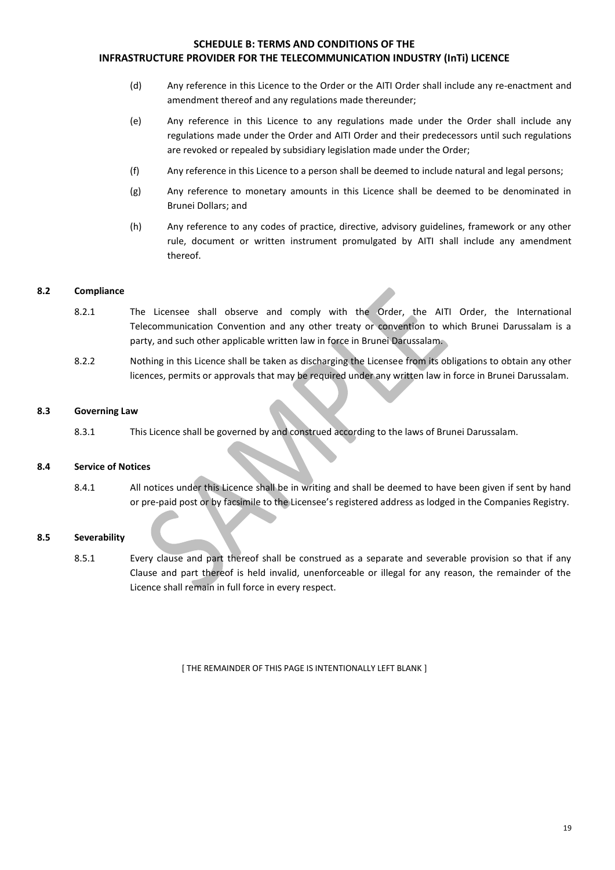- (d) Any reference in this Licence to the Order or the AITI Order shall include any re-enactment and amendment thereof and any regulations made thereunder;
- (e) Any reference in this Licence to any regulations made under the Order shall include any regulations made under the Order and AITI Order and their predecessors until such regulations are revoked or repealed by subsidiary legislation made under the Order;
- (f) Any reference in this Licence to a person shall be deemed to include natural and legal persons;
- (g) Any reference to monetary amounts in this Licence shall be deemed to be denominated in Brunei Dollars; and
- (h) Any reference to any codes of practice, directive, advisory guidelines, framework or any other rule, document or written instrument promulgated by AITI shall include any amendment thereof.

#### **8.2 Compliance**

- 8.2.1 The Licensee shall observe and comply with the Order, the AITI Order, the International Telecommunication Convention and any other treaty or convention to which Brunei Darussalam is a party, and such other applicable written law in force in Brunei Darussalam.
- 8.2.2 Nothing in this Licence shall be taken as discharging the Licensee from its obligations to obtain any other licences, permits or approvals that may be required under any written law in force in Brunei Darussalam.

#### **8.3 Governing Law**

8.3.1 This Licence shall be governed by and construed according to the laws of Brunei Darussalam.

## **8.4 Service of Notices**

8.4.1 All notices under this Licence shall be in writing and shall be deemed to have been given if sent by hand or pre-paid post or by facsimile to the Licensee's registered address as lodged in the Companies Registry.

## **8.5 Severability**

8.5.1 Every clause and part thereof shall be construed as a separate and severable provision so that if any Clause and part thereof is held invalid, unenforceable or illegal for any reason, the remainder of the Licence shall remain in full force in every respect.

[ THE REMAINDER OF THIS PAGE IS INTENTIONALLY LEFT BLANK ]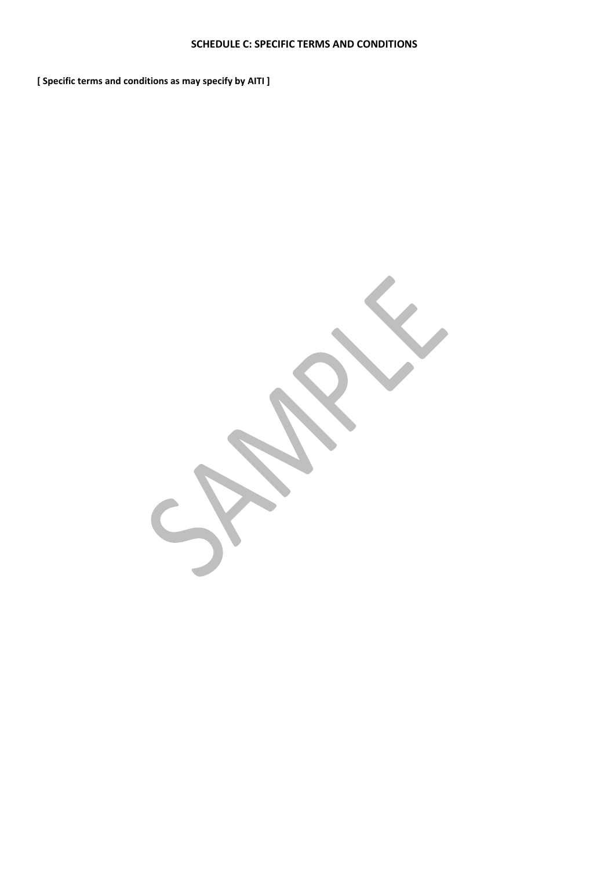**[ Specific terms and conditions as may specify by AITI ]**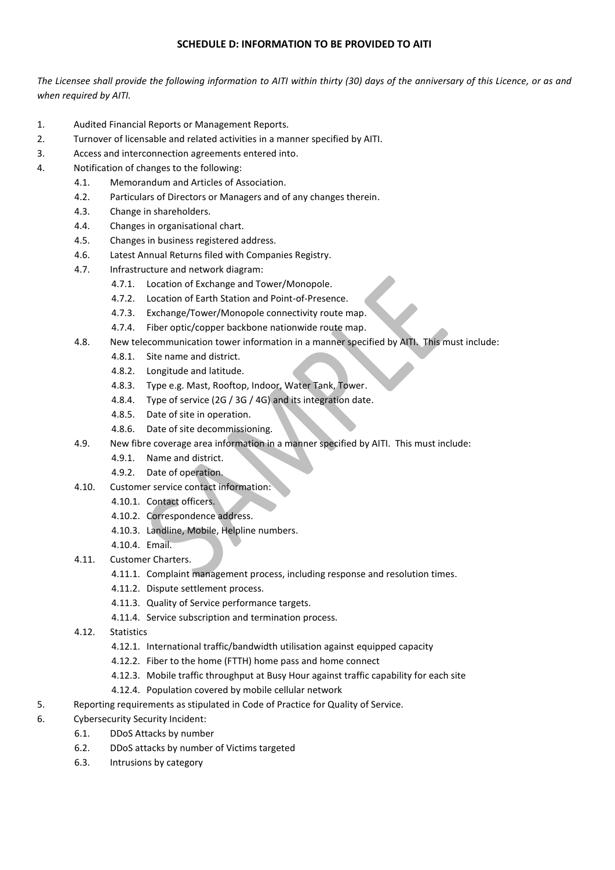## **SCHEDULE D: INFORMATION TO BE PROVIDED TO AITI**

*The Licensee shall provide the following information to AITI within thirty (30) days of the anniversary of this Licence, or as and when required by AITI.*

- 1. Audited Financial Reports or Management Reports.
- 2. Turnover of licensable and related activities in a manner specified by AITI.
- 3. Access and interconnection agreements entered into.
- 4. Notification of changes to the following:
	- 4.1. Memorandum and Articles of Association.
	- 4.2. Particulars of Directors or Managers and of any changes therein.
	- 4.3. Change in shareholders.
	- 4.4. Changes in organisational chart.
	- 4.5. Changes in business registered address.
	- 4.6. Latest Annual Returns filed with Companies Registry.
	- 4.7. Infrastructure and network diagram:
		- 4.7.1. Location of Exchange and Tower/Monopole.
		- 4.7.2. Location of Earth Station and Point-of-Presence.
		- 4.7.3. Exchange/Tower/Monopole connectivity route map.
		- 4.7.4. Fiber optic/copper backbone nationwide route map.
	- 4.8. New telecommunication tower information in a manner specified by AITI. This must include:
		- 4.8.1. Site name and district.
			- 4.8.2. Longitude and latitude.
			- 4.8.3. Type e.g. Mast, Rooftop, Indoor, Water Tank, Tower.
			- 4.8.4. Type of service (2G / 3G / 4G) and its integration date.
			- 4.8.5. Date of site in operation.
			- 4.8.6. Date of site decommissioning.
	- 4.9. New fibre coverage area information in a manner specified by AITI. This must include:
		- 4.9.1. Name and district.
		- 4.9.2. Date of operation.
	- 4.10. Customer service contact information:
		- 4.10.1. Contact officers.
		- 4.10.2. Correspondence address.
		- 4.10.3. Landline, Mobile, Helpline numbers.
		- 4.10.4. Email.
	- 4.11. Customer Charters.
		- 4.11.1. Complaint management process, including response and resolution times.
		- 4.11.2. Dispute settlement process.
		- 4.11.3. Quality of Service performance targets.
		- 4.11.4. Service subscription and termination process.
	- 4.12. Statistics
		- 4.12.1. International traffic/bandwidth utilisation against equipped capacity
		- 4.12.2. Fiber to the home (FTTH) home pass and home connect
		- 4.12.3. Mobile traffic throughput at Busy Hour against traffic capability for each site
		- 4.12.4. Population covered by mobile cellular network
- 5. Reporting requirements as stipulated in Code of Practice for Quality of Service.
- 6. Cybersecurity Security Incident:
	- 6.1. DDoS Attacks by number
	- 6.2. DDoS attacks by number of Victims targeted
	- 6.3. Intrusions by category